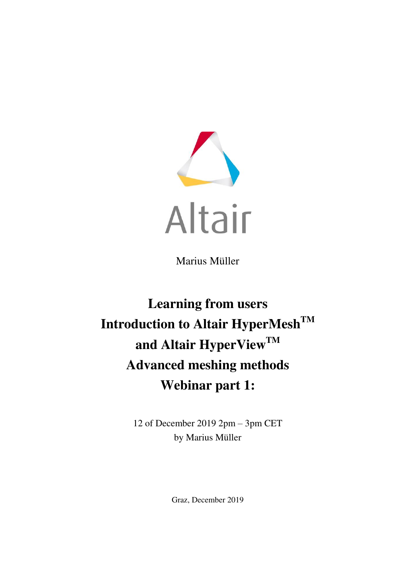

Marius Müller

# **Learning from users Introduction to Altair HyperMeshTM and Altair HyperViewTM Advanced meshing methods Webinar part 1:**

12 of December 2019 2pm – 3pm CET by Marius Müller

Graz, December 2019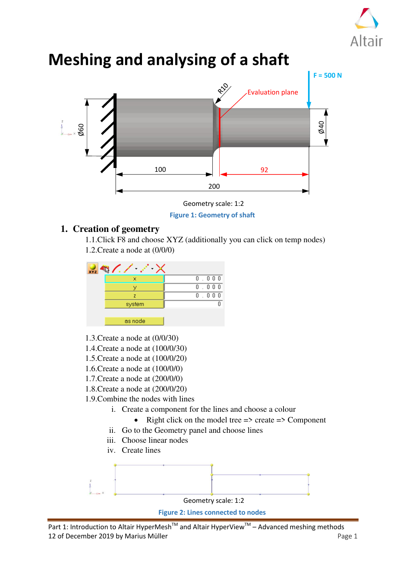



# **Meshing and analysing of a shaft**

**Figure 1: Geometry of shaft** 

## **1. Creation of geometry**

1.1.Click F8 and choose XYZ (additionally you can click on temp nodes) 1.2.Create a node at (0/0/0)

| <b>XYZ</b> |         |       |
|------------|---------|-------|
|            | ×       | 0.000 |
|            |         | 0.000 |
|            | 7       | 0.000 |
|            | system  |       |
|            |         |       |
|            | as node |       |

- 1.3.Create a node at (0/0/30)
- 1.4.Create a node at (100/0/30)
- 1.5.Create a node at (100/0/20)
- 1.6.Create a node at (100/0/0)
- 1.7.Create a node at (200/0/0)
- 1.8.Create a node at (200/0/20)
- 1.9.Combine the nodes with lines
	- i. Create a component for the lines and choose a colour
		- Right click on the model tree  $\Rightarrow$  create  $\Rightarrow$  Component
	- ii. Go to the Geometry panel and choose lines
	- iii. Choose linear nodes
	- iv. Create lines

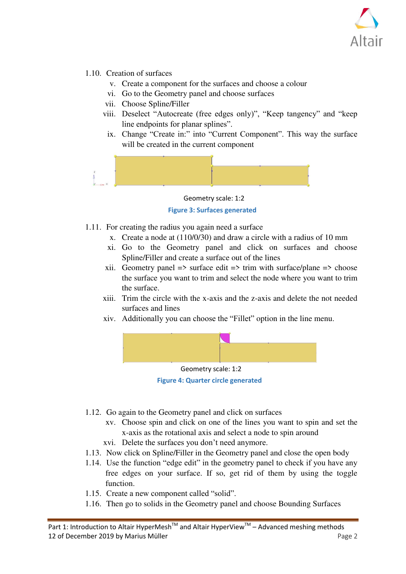

- 1.10. Creation of surfaces
	- v. Create a component for the surfaces and choose a colour
	- vi. Go to the Geometry panel and choose surfaces
	- vii. Choose Spline/Filler
	- viii. Deselect "Autocreate (free edges only)", "Keep tangency" and "keep line endpoints for planar splines".
	- ix. Change "Create in:" into "Current Component". This way the surface will be created in the current component



#### **Figure 3: Surfaces generated**  Geometry scale: 1:2

- 1.11. For creating the radius you again need a surface
	- x. Create a node at (110/0/30) and draw a circle with a radius of 10 mm
	- xi. Go to the Geometry panel and click on surfaces and choose Spline/Filler and create a surface out of the lines
	- xii. Geometry panel  $\Rightarrow$  surface edit  $\Rightarrow$  trim with surface/plane  $\Rightarrow$  choose the surface you want to trim and select the node where you want to trim the surface.
	- xiii. Trim the circle with the x-axis and the z-axis and delete the not needed surfaces and lines
	- xiv. Additionally you can choose the "Fillet" option in the line menu.





- 1.12. Go again to the Geometry panel and click on surfaces
	- xv. Choose spin and click on one of the lines you want to spin and set the x-axis as the rotational axis and select a node to spin around
	- xvi. Delete the surfaces you don't need anymore.
- 1.13. Now click on Spline/Filler in the Geometry panel and close the open body
- 1.14. Use the function "edge edit" in the geometry panel to check if you have any free edges on your surface. If so, get rid of them by using the toggle function.
- 1.15. Create a new component called "solid".
- 1.16. Then go to solids in the Geometry panel and choose Bounding Surfaces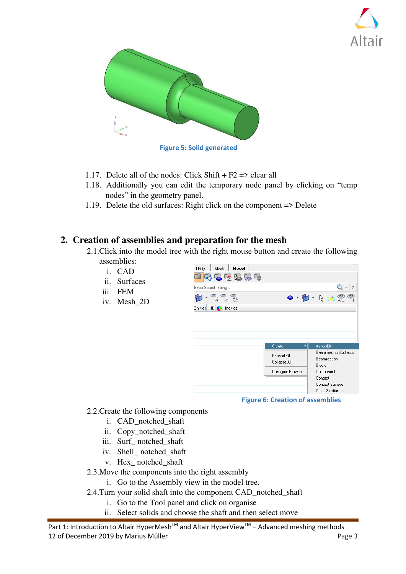



- 1.17. Delete all of the nodes: Click Shift +  $F2 \Rightarrow$  clear all
- 1.18. Additionally you can edit the temporary node panel by clicking on "temp nodes" in the geometry panel.
- 1.19. Delete the old surfaces: Right click on the component => Delete

### **2. Creation of assemblies and preparation for the mesh**

- 2.1.Click into the model tree with the right mouse button and create the following assemblies:
	- i. CAD
	- ii. Surfaces
	- iii. FEM
	- iv. Mesh\_2D



**Figure 6: Creation of assemblies** 

- 2.2.Create the following components
	- i. CAD\_notched\_shaft
	- ii. Copy\_notched\_shaft
	- iii. Surf\_ notched\_shaft
	- iv. Shell\_ notched\_shaft
	- v. Hex\_ notched\_shaft

#### 2.3.Move the components into the right assembly

- i. Go to the Assembly view in the model tree.
- 2.4.Turn your solid shaft into the component CAD\_notched\_shaft
	- i. Go to the Tool panel and click on organise
	- ii. Select solids and choose the shaft and then select move